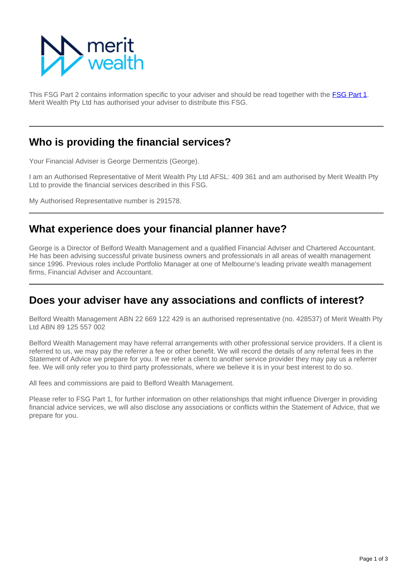

This FSG Part 2 contains information specific to your adviser and should be read together with the **[FSG Part 1](https://info.eastonwealth.com.au/FinancialServicesGuide)**. Merit Wealth Pty Ltd has authorised your adviser to distribute this FSG.

### **Who is providing the financial services?**

Your Financial Adviser is George Dermentzis (George).

I am an Authorised Representative of Merit Wealth Pty Ltd AFSL: 409 361 and am authorised by Merit Wealth Pty Ltd to provide the financial services described in this FSG.

My Authorised Representative number is 291578.

### **What experience does your financial planner have?**

George is a Director of Belford Wealth Management and a qualified Financial Adviser and Chartered Accountant. He has been advising successful private business owners and professionals in all areas of wealth management since 1996. Previous roles include Portfolio Manager at one of Melbourne's leading private wealth management firms, Financial Adviser and Accountant.

#### **Does your adviser have any associations and conflicts of interest?**

Belford Wealth Management ABN 22 669 122 429 is an authorised representative (no. 428537) of Merit Wealth Pty Ltd ABN 89 125 557 002

Belford Wealth Management may have referral arrangements with other professional service providers. If a client is referred to us, we may pay the referrer a fee or other benefit. We will record the details of any referral fees in the Statement of Advice we prepare for you. If we refer a client to another service provider they may pay us a referrer fee. We will only refer you to third party professionals, where we believe it is in your best interest to do so.

All fees and commissions are paid to Belford Wealth Management.

Please refer to FSG Part 1, for further information on other relationships that might influence Diverger in providing financial advice services, we will also disclose any associations or conflicts within the Statement of Advice, that we prepare for you.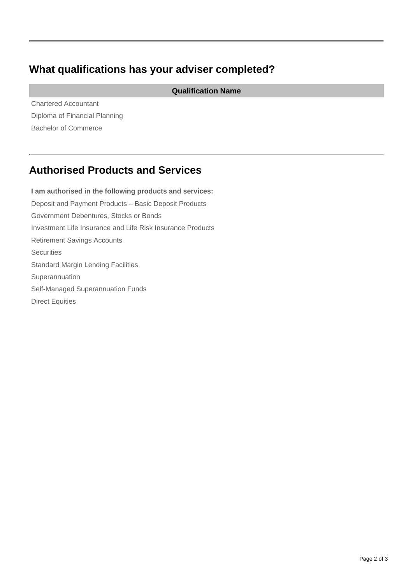# **What qualifications has your adviser completed?**

**Qualification Name**

Chartered Accountant Diploma of Financial Planning Bachelor of Commerce

## **Authorised Products and Services**

**I am authorised in the following products and services:** Deposit and Payment Products – Basic Deposit Products Government Debentures, Stocks or Bonds Investment Life Insurance and Life Risk Insurance Products Retirement Savings Accounts **Securities** Standard Margin Lending Facilities Superannuation Self-Managed Superannuation Funds Direct Equities